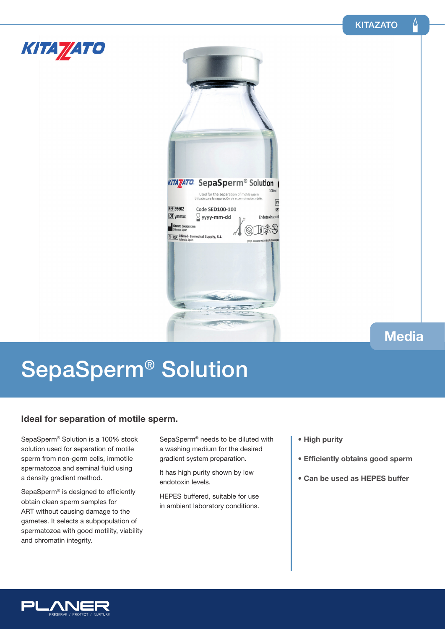Δ



### **Media**

# SepaSperm® Solution

### **Ideal for separation of motile sperm.**

SepaSperm® Solution is a 100% stock solution used for separation of motile sperm from non-germ cells, immotile spermatozoa and seminal fluid using a density gradient method.

SepaSperm® is designed to efficiently obtain clean sperm samples for ART without causing damage to the gametes. It selects a subpopulation of spermatozoa with good motility, viability and chromatin integrity.

SepaSperm® needs to be diluted with a washing medium for the desired gradient system preparation.

It has high purity shown by low endotoxin levels.

HEPES buffered, suitable for use in ambient laboratory conditions.

- **High purity**
- **Efficiently obtains good sperm**
- **Can be used as HEPES buffer**